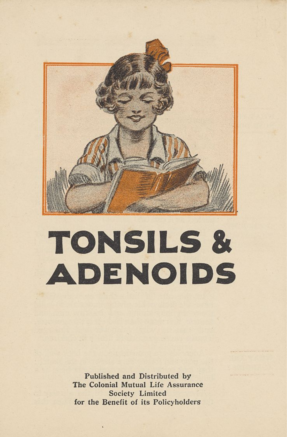

## **TONSILS & ADENOIDS**

Published and Distributed by The Colonial Mutual Life Assurance Society Limited for the Benefit of its Policyholders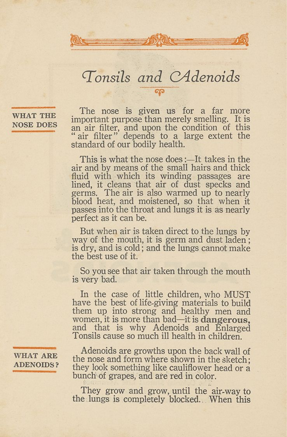## *'Tonsils and CAdenoids*  ත

WHAT THE

The nose is given us for a far more important purpose than merely smelling. It is NOSE DOES an air filter, and upon the condition of this air filter" depends to a large extent the standard of our bodily health.

> This is what the nose does:—It takes in the air and by means of the small hairs and thick fluid with which its winding passages are lined, it cleans that air of dust specks and germs. The air is also warmed up to nearly blood heat, and moistened, so that when it passes into the throat and lungs it is as nearly perfect as it can be.

> But when air is taken direct to the lungs by way of the mouth, it is germ and dust laden; is dry, and is cold; and the lungs cannot make the best use of it.

> So you see that air taken through the mouth is very bad.

> In the case of little children, who MUST have the best of life-giving materials to build them up into strong and healthy men and women, it is more than bad—it is **dangerous,**  and that is why Adenoids and Enlarged Tonsils cause so much ill health in children.

WHAT ARE

Adenoids are growths upon the back wall of the nose and form where shown in the sketch;  $ADENOIDS$  they look something like cauliflower head or a bunch of grapes, and are red in color.

> They grow and grow, until the air-way to the lungs is completely blocked.. When this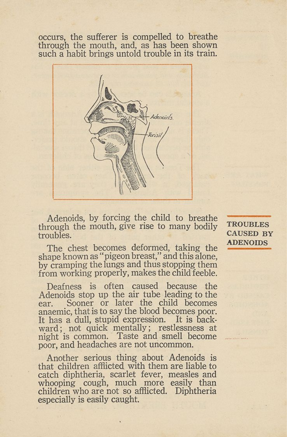occurs, the sufferer is compelled to breathe through the mouth, and, as has been shown such a habit brings untold trouble in its train.



Adenoids, by forcing the child to breathe through the mouth, give rise to many bodily troubles.

The chest becomes deformed, taking the shape known as "pigeon breast," and this alone, by cramping the lungs and thus stopping them from working properly, makes the child feeble.

Deafness is often caused because the Adenoids stop up the air tube leading to the ear. Sooner or later the child becomes anaemic, that is to say the blood becomes poor. It has a dull, stupid expression. It is backward; not quick mentally; restlessness at night is common. Taste and smell become poor, and headaches are not uncommon.

Another serious thing about Adenoids is that children afflicted with them are liable to catch diphtheria, scarlet fever, measles and whooping cough, much more easily than children who are not so afflicted. Diphtheria especially is easily caught.

**TROUBLES** CAUSED BY ADENOIDS